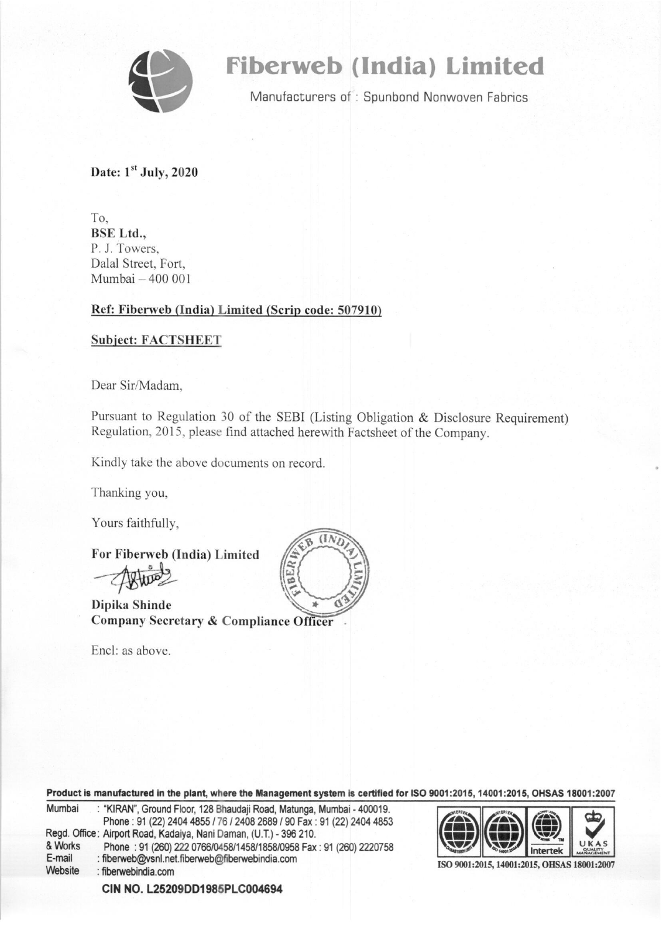

# **fiberweb (India) Limited**

Manufacturers of : Spunbond Nonwoven Fabrics

Date:  $1<sup>st</sup>$  July, 2020

To, BSE Ltd., P. 1. Towers, Dalal Street, Fort, Mumbai  $-400001$ 

#### Ref: Fiberweb (India) Limited (Scrip code: 507910)

#### Subject: FACTSHEET

Dear Sir/Madam,

Pursuant to Regulation 30 of the SEB! (Listing Obligation & Disclosure Requirement) Regulation, 2015, please find attached herewith Factsheet of the Company.

Kindly take the above documents on record.

Thanking you,

Yours faithfully,

For Fiberweb (India) Limited

Dipika Shinde Company Secretary & Compliance Officer

Encl: as above.



Product is manufactured in the plant, where the Management system is certified for ISO 9001:2015, 14001:2015, OHSAS 18001:2007

Product is manufactured in the plant, where the Management system is certified for ISO 9001:2015, 14001:2015, OHSAS 18001:200<br>
Mumbai : "KIRAN", Ground Floor, 128 Bhaudaji Road, Matunga, Mumbai - 400019.<br>
Phone : 91 (22) Phone: 91 (22) 2404 4855 / 76 / 2408 2689 / 90 Fax: 91 (22) 2404 4853<br>Regd. Office: Airport Road, Kadaiya, Nani Daman, (U.T.) - 396 210. & Works Phone : 91 (260) 222 0766/0458/1458/1858/0958 Fax : 91 (260) 2220758 **E-mail** : fiberweb@ysnl.net.fiberweb@fiberwebindia.com E-mail : fiberweb@vsnl.net.fiberweb@fiberwebindia.com<br>Website : fiberwebindia.com : fiberwebindia.com



ISO 9001:2015,14001:2015, OHSAS 18001:2007

**CIN** NO. **L25209DD1985PLC004694**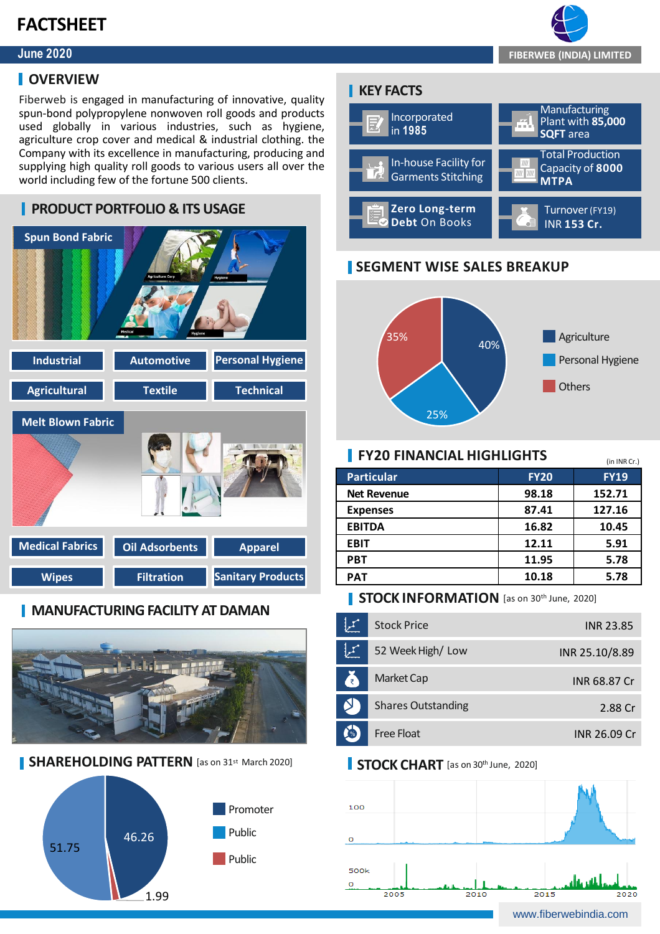### **FACTSHEET**

### **June 2020**

### **I** OVERVIEW

Fiberweb is engaged in manufacturing of innovative, quality spun-bond polypropylene nonwoven roll goods and products used globally in various industries, such as hygiene, agriculture crop cover and medical & industrial clothing. the Company with its excellence in manufacturing, producing and supplying high quality roll goods to various users all over the world including few of the fortune 500 clients.



### **MANUFACTURING FACILITY AT DAMAN**



**SHAREHOLDING PATTERN** [as on 31st March 2020]



### **KEY FACTS**



### **SEGMENT WISE SALES BREAKUP**



### **FY20 FINANCIAL HIGHLIGHTS**

| <b>Particular</b>  | <b>FY20</b> | <b>FY19</b> |
|--------------------|-------------|-------------|
| <b>Net Revenue</b> | 98.18       | 152.71      |
| <b>Expenses</b>    | 87.41       | 127.16      |
| <b>EBITDA</b>      | 16.82       | 10.45       |
| <b>EBIT</b>        | 12.11       | 5.91        |
| <b>PBT</b>         | 11.95       | 5.78        |
| <b>PAT</b>         | 10.18       | 5.78        |
|                    |             |             |

### **STOCK INFORMATION** [as on 30th June, 2020]

|      | <b>Stock Price</b>        | <b>INR 23.85</b> |
|------|---------------------------|------------------|
|      | 52 Week High/Low          | INR 25.10/8.89   |
| A    | Market Cap                | INR 68.87 Cr     |
|      | <b>Shares Outstanding</b> | 2.88 Cr          |
| $\%$ | Free Float                | INR 26.09 Cr     |

### **STOCK CHART** [as on 30<sup>th</sup> June, 2020]





(in INR Cr.)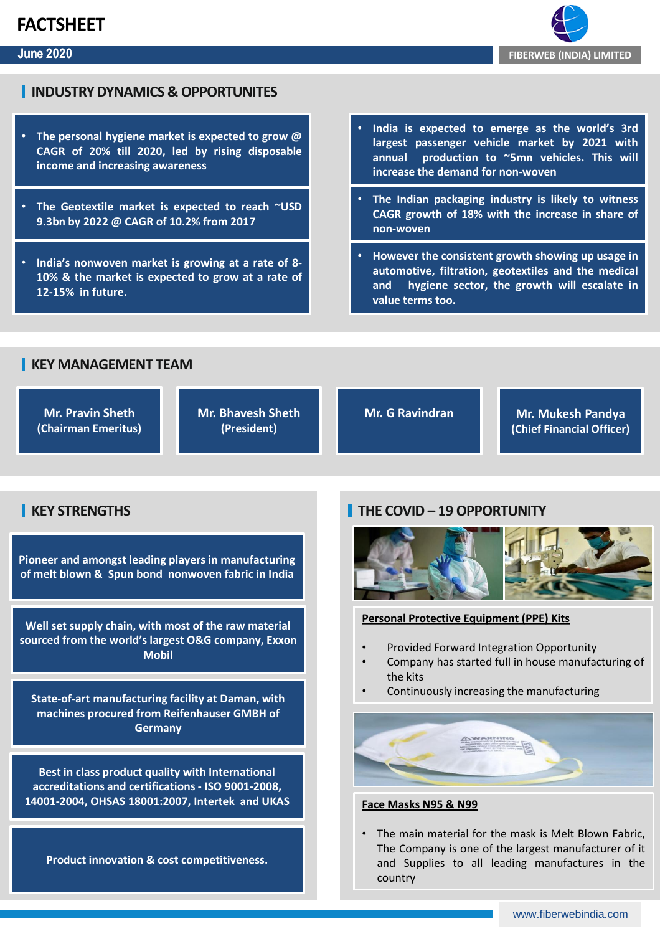### **FACTSHEET**

#### **June 2020**



### **INDUSTRY DYNAMICS & OPPORTUNITES**

- **The personal hygiene market is expected to grow @ CAGR of 20% till 2020, led by rising disposable income and increasing awareness**
- **The Geotextile market is expected to reach ~USD 9.3bn by 2022 @ CAGR of 10.2% from 2017**
- **India's nonwoven market is growing at a rate of 8- 10% & the market is expected to grow at a rate of 12-15% in future.**
- **India is expected to emerge as the world's 3rd largest passenger vehicle market by 2021 with annual production to ~5mn vehicles. This will increase the demand for non-woven**
- **The Indian packaging industry is likely to witness CAGR growth of 18% with the increase in share of non-woven**
- **However the consistent growth showing up usage in automotive, filtration, geotextiles and the medical and hygiene sector, the growth will escalate in value terms too.**

### **KEY MANAGEMENT TEAM**

**Mr. Pravin Sheth (Chairman Emeritus)**  **Mr. Bhavesh Sheth (President)**

**Mr. G Ravindran Mr. Mukesh Pandya (Chief Financial Officer)**

### **KEY STRENGTHS**

**Pioneer and amongst leading players in manufacturing of melt blown & Spun bond nonwoven fabric in India** 

**Well set supply chain, with most of the raw material sourced from the world's largest O&G company, Exxon Mobil**

**State-of-art manufacturing facility at Daman, with machines procured from Reifenhauser GMBH of Germany**

**Best in class product quality with International accreditations and certifications - ISO 9001-2008, 14001-2004, OHSAS 18001:2007, Intertek and UKAS**

**Product innovation & cost competitiveness.**

### **THE COVID – 19 OPPORTUNITY**



#### **Personal Protective Equipment (PPE) Kits**

- Provided Forward Integration Opportunity
- Company has started full in house manufacturing of the kits
- Continuously increasing the manufacturing



#### **Face Masks N95 & N99**

• The main material for the mask is Melt Blown Fabric, The Company is one of the largest manufacturer of it and Supplies to all leading manufactures in the country